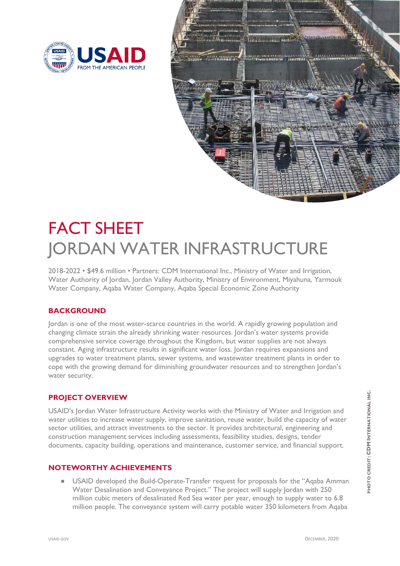



# FACT SHEET JORDAN WATER INFRASTRUCTURE

2018-2022 • \$49.6 million • Partners: CDM International Inc., Ministry of Water and Irrigation, Water Authority of Jordan, Jordan Valley Authority, Ministry of Environment, Miyahuna, Yarmouk Water Company, Aqaba Water Company, Aqaba Special Economic Zone Authority

## **BACKGROUND**

Jordan is one of the most water-scarce countries in the world. A rapidly growing population and changing climate strain the already shrinking water resources. Jordan's water systems provide comprehensive service coverage throughout the Kingdom, but water supplies are not always constant. Aging infrastructure results in significant water loss. Jordan requires expansions and upgrades to water treatment plants, sewer systems, and wastewater treatment plants in order to cope with the growing demand for diminishing groundwater resources and to strengthen Jordan's water security.

## **PROJECT OVERVIEW**

USAID's Jordan Water Infrastructure Activity works with the Ministry of Water and Irrigation and water utilities to increase water supply, improve sanitation, reuse water, build the capacity of water sector utilities, and attract investments to the sector. It provides architectural, engineering and construction management services including assessments, feasibility studies, designs, tender documents, capacity building, operations and maintenance, customer service, and financial support.

#### **NOTEWORTHY ACHIEVEMENTS**

USAID developed the Build-Operate-Transfer request for proposals for the "Aqaba Amman Water Desalination and Conveyance Project." The project will supply Jordan with 250 million cubic meters of desalinated Red Sea water per year, enough to supply water to 6.8 million people. The conveyance system will carry potable water 350 kilometers from Aqaba